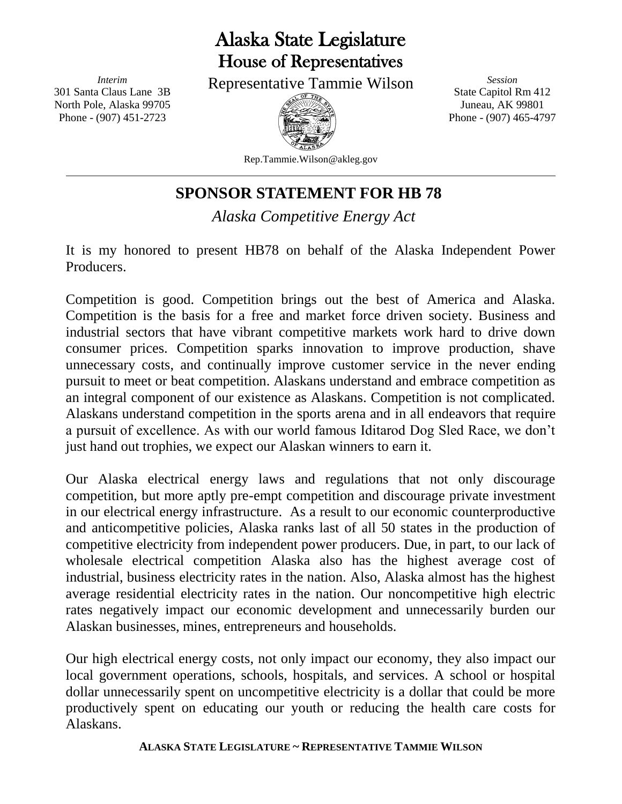## Alaska State Legislature House of Representatives

*Interim* 301 Santa Claus Lane 3B North Pole, Alaska 99705 Phone - (907) 451-2723

Representative Tammie Wilson



*Session* State Capitol Rm 412 Juneau, AK 99801 Phone - (907) 465-4797

Rep.Tammie.Wilson@akleg.gov

## **SPONSOR STATEMENT FOR HB 78**

*Alaska Competitive Energy Act*

It is my honored to present HB78 on behalf of the Alaska Independent Power Producers.

Competition is good. Competition brings out the best of America and Alaska. Competition is the basis for a free and market force driven society. Business and industrial sectors that have vibrant competitive markets work hard to drive down consumer prices. Competition sparks innovation to improve production, shave unnecessary costs, and continually improve customer service in the never ending pursuit to meet or beat competition. Alaskans understand and embrace competition as an integral component of our existence as Alaskans. Competition is not complicated. Alaskans understand competition in the sports arena and in all endeavors that require a pursuit of excellence. As with our world famous Iditarod Dog Sled Race, we don't just hand out trophies, we expect our Alaskan winners to earn it.

Our Alaska electrical energy laws and regulations that not only discourage competition, but more aptly pre-empt competition and discourage private investment in our electrical energy infrastructure. As a result to our economic counterproductive and anticompetitive policies, Alaska ranks last of all 50 states in the production of competitive electricity from independent power producers. Due, in part, to our lack of wholesale electrical competition Alaska also has the highest average cost of industrial, business electricity rates in the nation. Also, Alaska almost has the highest average residential electricity rates in the nation. Our noncompetitive high electric rates negatively impact our economic development and unnecessarily burden our Alaskan businesses, mines, entrepreneurs and households.

Our high electrical energy costs, not only impact our economy, they also impact our local government operations, schools, hospitals, and services. A school or hospital dollar unnecessarily spent on uncompetitive electricity is a dollar that could be more productively spent on educating our youth or reducing the health care costs for Alaskans.

## **ALASKA STATE LEGISLATURE ~ REPRESENTATIVE TAMMIE WILSON**